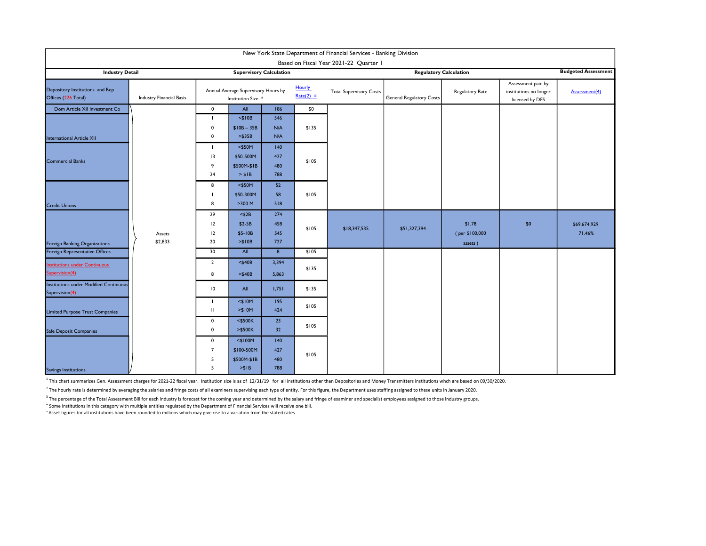|                                                                 |                                                                          |                                                           |                                                   |                              |                                | New York State Department of Financial Services - Banking Division |                            |                                                                 |               |                        |
|-----------------------------------------------------------------|--------------------------------------------------------------------------|-----------------------------------------------------------|---------------------------------------------------|------------------------------|--------------------------------|--------------------------------------------------------------------|----------------------------|-----------------------------------------------------------------|---------------|------------------------|
| <b>Industry Detail</b>                                          | Based on Fiscal Year 2021-22 Quarter 1<br><b>Supervisory Calculation</b> |                                                           |                                                   |                              |                                | <b>Regulatory Calculation</b>                                      | <b>Budgeted Assessment</b> |                                                                 |               |                        |
|                                                                 |                                                                          |                                                           |                                                   |                              |                                |                                                                    |                            |                                                                 |               |                        |
| Depository Institutions and Rep<br>Offices (226 Total)          | Industry Financial Basis                                                 | Annual Average Supervisory Hours by<br>Institution Size * |                                                   | <b>Hourly</b><br>$Rate(2) =$ | <b>Total Supervisory Costs</b> | <b>General Regulatory Costs</b>                                    | Regulatory Rate            | Assessment paid by<br>institutions no longer<br>licensed by DFS | Assessment(4) |                        |
| Dom Article XII Investment Co                                   |                                                                          | $\mathbf 0$                                               | All                                               | 186                          | \$0                            |                                                                    |                            |                                                                 |               |                        |
| <b>International Article XII</b>                                |                                                                          | $\mathbf{I}$<br>0<br>$\mathbf 0$                          | $<$ \$10B<br>$$10B - 35B$<br>> \$35B              | 546<br>N/A<br>N/A            | \$135                          |                                                                    |                            |                                                                 |               |                        |
| <b>Commercial Banks</b>                                         |                                                                          | $\mathbf{I}$<br>13<br>9<br>24                             | $<$ \$50M<br>\$50-500M<br>\$500M-\$1B<br>> \$IB   | 140<br>427<br>480<br>788     | \$105                          |                                                                    |                            |                                                                 |               |                        |
| <b>Credit Unions</b>                                            |                                                                          | 8<br>8                                                    | $<$ \$50M<br>\$50-300M<br>>300 M                  | 52<br>58<br>518              | \$105                          |                                                                    |                            |                                                                 |               |                        |
| Foreign Banking Organizations                                   | Assets<br>\$2,833                                                        | 29<br>12<br>12<br>20                                      | $<$ \$2B<br>$$2-5B$<br>\$5-10B<br>> \$10B         | 274<br>458<br>545<br>727     | \$105                          | \$18,347,535                                                       | \$51,327,394               | \$1.78<br>(per \$100,000<br>assets)                             | \$0           | \$69,674,929<br>71.46% |
| <b>Foreign Representative Offices</b>                           |                                                                          | 30                                                        | All                                               | $\overline{8}$               | \$105                          |                                                                    |                            |                                                                 |               |                        |
| <b>Institutions under Continuous</b><br>Supervision(4)          |                                                                          | $\overline{2}$<br>8                                       | $<$ \$40B<br>> \$40B                              | 3,394<br>5,863               | \$135                          |                                                                    |                            |                                                                 |               |                        |
| <b>Institutions under Modified Continuous</b><br>Supervision(4) |                                                                          | 10                                                        | All                                               | 1,751                        | \$135                          |                                                                    |                            |                                                                 |               |                        |
| <b>Limited Purpose Trust Companies</b>                          |                                                                          | -1<br>$\mathbf{H}$                                        | $<$ \$10M<br>> \$10M                              | 195<br>424                   | \$105                          |                                                                    |                            |                                                                 |               |                        |
| Safe Deposit Companies                                          |                                                                          | 0<br>0                                                    | $<$ \$500K<br>$> $500K$                           | 23<br>32                     | \$105                          |                                                                    |                            |                                                                 |               |                        |
| Savings Institutions                                            |                                                                          | $\mathbf 0$<br>$\overline{7}$<br>5<br>5                   | $<$ \$100M<br>\$100-500M<br>\$500M-\$1B<br>> \$IB | 140<br>427<br>480<br>788     | \$105                          |                                                                    |                            |                                                                 |               |                        |

1 This chart summarizes Gen. Assessment charges for 2021-22 fiscal year. Institution size is as of 12/31/19 for all institutions other than Depositories and Money Transmitters institutions whch are based on 09/30/2020.

<sup>2</sup> The hourly rate is determined by averaging the salaries and fringe costs of all examiners supervising each type of entity. For this figure, the Department uses staffing assigned to these units in January 2020.

<sup>3</sup> The percentage of the Total Assessment Bill for each industry is forecast for the coming year and determined by the salary and fringe of examiner and specialist employees assigned to those industry groups.

4 Some institutions in this category with multiple entities regulated by the Department of Financial Services will receive one bill.

<sup>5</sup>Asset figures for all institutions have been rounded to millions which may give rise to a variation from the stated rates